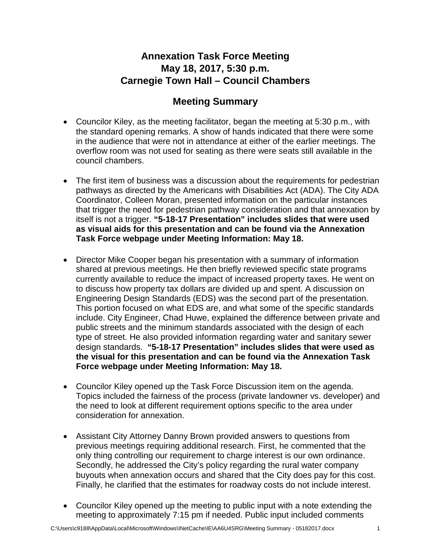## **Annexation Task Force Meeting May 18, 2017, 5:30 p.m. Carnegie Town Hall – Council Chambers**

## **Meeting Summary**

- Councilor Kiley, as the meeting facilitator, began the meeting at 5:30 p.m., with the standard opening remarks. A show of hands indicated that there were some in the audience that were not in attendance at either of the earlier meetings. The overflow room was not used for seating as there were seats still available in the council chambers.
- The first item of business was a discussion about the requirements for pedestrian pathways as directed by the Americans with Disabilities Act (ADA). The City ADA Coordinator, Colleen Moran, presented information on the particular instances that trigger the need for pedestrian pathway consideration and that annexation by itself is not a trigger. **"5-18-17 Presentation" includes slides that were used as visual aids for this presentation and can be found via the Annexation Task Force webpage under Meeting Information: May 18.**
- Director Mike Cooper began his presentation with a summary of information shared at previous meetings. He then briefly reviewed specific state programs currently available to reduce the impact of increased property taxes. He went on to discuss how property tax dollars are divided up and spent. A discussion on Engineering Design Standards (EDS) was the second part of the presentation. This portion focused on what EDS are, and what some of the specific standards include. City Engineer, Chad Huwe, explained the difference between private and public streets and the minimum standards associated with the design of each type of street. He also provided information regarding water and sanitary sewer design standards. **"5-18-17 Presentation" includes slides that were used as the visual for this presentation and can be found via the Annexation Task Force webpage under Meeting Information: May 18.**
- Councilor Kiley opened up the Task Force Discussion item on the agenda. Topics included the fairness of the process (private landowner vs. developer) and the need to look at different requirement options specific to the area under consideration for annexation.
- Assistant City Attorney Danny Brown provided answers to questions from previous meetings requiring additional research. First, he commented that the only thing controlling our requirement to charge interest is our own ordinance. Secondly, he addressed the City's policy regarding the rural water company buyouts when annexation occurs and shared that the City does pay for this cost. Finally, he clarified that the estimates for roadway costs do not include interest.
- Councilor Kiley opened up the meeting to public input with a note extending the meeting to approximately 7:15 pm if needed. Public input included comments